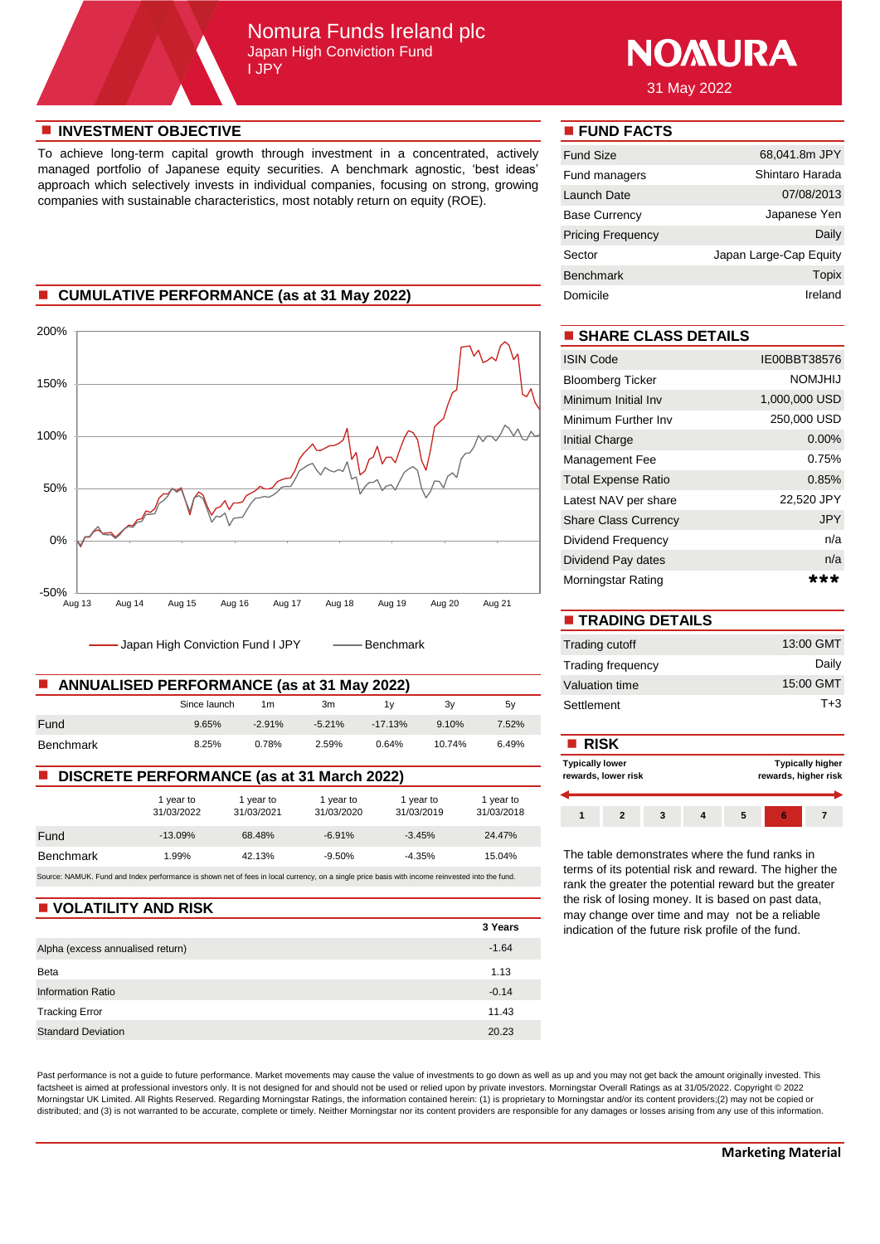## Nomura Funds Ireland plc Japan High Conviction Fund I JPY



31 May 2022

### **n** INVESTMENT OBJECTIVE **n FUND FACTS**

To achieve long-term capital growth through investment in a concentrated, actively managed portfolio of Japanese equity securities. A benchmark agnostic, 'best ideas' approach which selectively invests in individual companies, focusing on strong, growing companies with sustainable characteristics, most notably return on equity (ROE).

## **E** CUMULATIVE PERFORMANCE (as at 31 May 2022)



- Japan High Conviction Fund I JPY - - - Benchmark

| <b>ANNUALISED PERFORMANCE (as at 31 May 2022)</b> | Valuation time |                |          |           |        |       |             |
|---------------------------------------------------|----------------|----------------|----------|-----------|--------|-------|-------------|
|                                                   | Since launch   | 1 <sub>m</sub> | 3m       |           | 3v     | 5v    | Settlement  |
| Fund                                              | 9.65%          | $-2.91%$       | $-5.21%$ | $-17.13%$ | 9.10%  | 7.52% |             |
| Benchmark                                         | 8.25%          | 0.78%          | 2.59%    | 0.64%     | 10.74% | 6.49% | <b>RISK</b> |

### ■ **DISCRETE PERFORMANCE** (as at 31 March 2022)

|                                                                                                                                                 | 1 year to<br>31/03/2022 | 1 year to<br>31/03/2021 | 1 year to<br>31/03/2020 | 1 year to<br>31/03/2019 | 1 year to<br>31/03/2018 |  |
|-------------------------------------------------------------------------------------------------------------------------------------------------|-------------------------|-------------------------|-------------------------|-------------------------|-------------------------|--|
| Fund                                                                                                                                            | $-13.09%$               | 68.48%                  | $-6.91%$                | $-3.45%$                | 24.47%                  |  |
| <b>Benchmark</b>                                                                                                                                | 1.99%                   | 42.13%                  | $-9.50%$                | $-4.35%$                | 15.04%                  |  |
| Source: NAMUK. Fund and Index performance is shown net of fees in local currency, on a single price basis with income reinvested into the fund. |                         |                         |                         |                         |                         |  |

#### **N** VOLATILITY AND RISK

|                                  | 3 Years |
|----------------------------------|---------|
| Alpha (excess annualised return) | $-1.64$ |
| Beta                             | 1.13    |
| <b>Information Ratio</b>         | $-0.14$ |
| <b>Tracking Error</b>            | 11.43   |
| <b>Standard Deviation</b>        | 20.23   |

Past performance is not a guide to future performance. Market movements may cause the value of investments to go down as well as up and you may not get back the amount originally invested. This factsheet is aimed at professional investors only. It is not designed for and should not be used or relied upon by private investors. Morningstar Overall Ratings as at 31/05/2022. Copyright © 2022 Morningstar UK Limited. All Rights Reserved. Regarding Morningstar Ratings, the information contained herein: (1) is proprietary to Morningstar and/or its content providers;(2) may not be copied or distributed; and (3) is not warranted to be accurate, complete or timely. Neither Morningstar nor its content providers are responsible for any damages or losses arising from any use of this information.

| <b>Fund Size</b>         | 68,041.8m JPY          |
|--------------------------|------------------------|
| Fund managers            | Shintaro Harada        |
| Launch Date              | 07/08/2013             |
| Base Currency            | Japanese Yen           |
| <b>Pricing Frequency</b> | Daily                  |
| Sector                   | Japan Large-Cap Equity |
| <b>Benchmark</b>         | Topix                  |
| Domicile                 | Ireland                |

## $\blacksquare$  **SHARE CLASS DETAILS**

| <b>ISIN Code</b>            | IE00BBT38576  |
|-----------------------------|---------------|
| <b>Bloomberg Ticker</b>     | NOMJHIJ       |
| Minimum Initial Inv         | 1,000,000 USD |
| Minimum Further Inv         | 250,000 USD   |
| Initial Charge              | $0.00\%$      |
| Management Fee              | 0.75%         |
| <b>Total Expense Ratio</b>  | $0.85\%$      |
| Latest NAV per share        | 22,520 JPY    |
| <b>Share Class Currency</b> | <b>JPY</b>    |
| Dividend Frequency          | n/a           |
| Dividend Pay dates          | n/a           |
| Morningstar Rating          |               |

| <b>TRADING DETAILS</b>   |           |
|--------------------------|-----------|
| Trading cutoff           | 13:00 GMT |
| <b>Trading frequency</b> | Daily     |
| Valuation time           | 15:00 GMT |
| Settlement               | $T + 3$   |

### **Typically higher rewards, higher risk 1 2 3 4 5 6 7 Typically lower rewards, lower risk**

The table demonstrates where the fund ranks in terms of its potential risk and reward. The higher the rank the greater the potential reward but the greater the risk of losing money. It is based on past data, may change over time and may not be a reliable indication of the future risk profile of the fund.